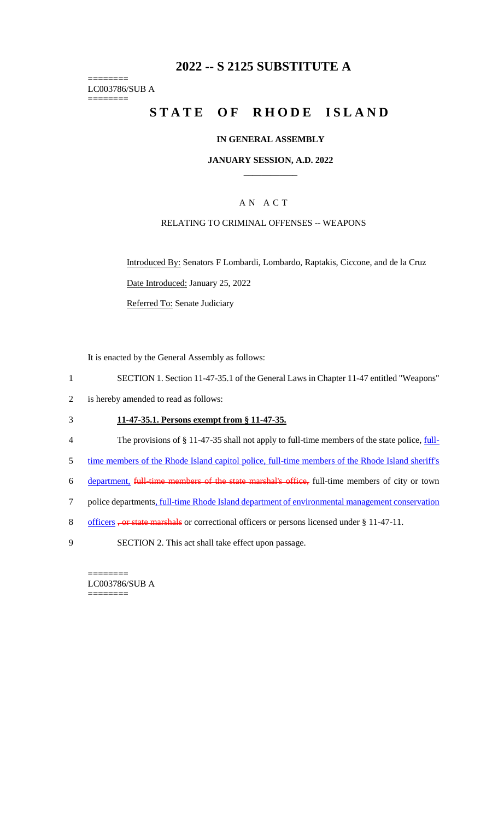# **2022 -- S 2125 SUBSTITUTE A**

======== LC003786/SUB A ========

# **STATE OF RHODE ISLAND**

#### **IN GENERAL ASSEMBLY**

### **JANUARY SESSION, A.D. 2022 \_\_\_\_\_\_\_\_\_\_\_\_**

## A N A C T

### RELATING TO CRIMINAL OFFENSES -- WEAPONS

Introduced By: Senators F Lombardi, Lombardo, Raptakis, Ciccone, and de la Cruz Date Introduced: January 25, 2022

Referred To: Senate Judiciary

It is enacted by the General Assembly as follows:

- 1 SECTION 1. Section 11-47-35.1 of the General Laws in Chapter 11-47 entitled "Weapons"
- 2 is hereby amended to read as follows:

## 3 **11-47-35.1. Persons exempt from § 11-47-35.**

- 4 The provisions of § 11-47-35 shall not apply to full-time members of the state police, *full*-
- 5 time members of the Rhode Island capitol police, full-time members of the Rhode Island sheriff's
- 6 department, full-time members of the state marshal's office, full-time members of city or town
- 7 police departments, full-time Rhode Island department of environmental management conservation
- 8 officers, or state marshals or correctional officers or persons licensed under § 11-47-11.
- 9 SECTION 2. This act shall take effect upon passage.

LC003786/SUB A ========

========